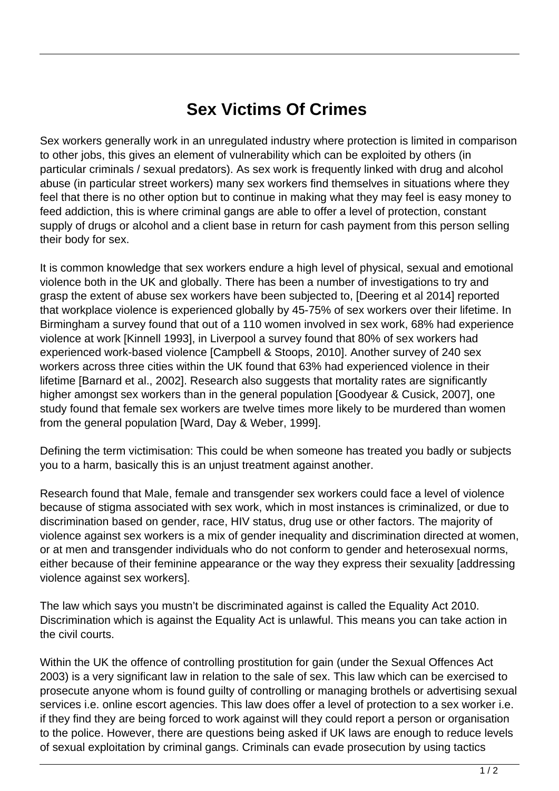## **Sex Victims Of Crimes**

Sex workers generally work in an unregulated industry where protection is limited in comparison to other jobs, this gives an element of vulnerability which can be exploited by others (in particular criminals / sexual predators). As sex work is frequently linked with drug and alcohol abuse (in particular street workers) many sex workers find themselves in situations where they feel that there is no other option but to continue in making what they may feel is easy money to feed addiction, this is where criminal gangs are able to offer a level of protection, constant supply of drugs or alcohol and a client base in return for cash payment from this person selling their body for sex.

It is common knowledge that sex workers endure a high level of physical, sexual and emotional violence both in the UK and globally. There has been a number of investigations to try and grasp the extent of abuse sex workers have been subjected to, [Deering et al 2014] reported that workplace violence is experienced globally by 45-75% of sex workers over their lifetime. In Birmingham a survey found that out of a 110 women involved in sex work, 68% had experience violence at work [Kinnell 1993], in Liverpool a survey found that 80% of sex workers had experienced work-based violence [Campbell & Stoops, 2010]. Another survey of 240 sex workers across three cities within the UK found that 63% had experienced violence in their lifetime [Barnard et al., 2002]. Research also suggests that mortality rates are significantly higher amongst sex workers than in the general population [Goodyear & Cusick, 2007], one study found that female sex workers are twelve times more likely to be murdered than women from the general population [Ward, Day & Weber, 1999].

Defining the term victimisation: This could be when someone has treated you badly or subjects you to a harm, basically this is an unjust treatment against another.

Research found that Male, female and transgender sex workers could face a level of violence because of stigma associated with sex work, which in most instances is criminalized, or due to discrimination based on gender, race, HIV status, drug use or other factors. The majority of violence against sex workers is a mix of gender inequality and discrimination directed at women, or at men and transgender individuals who do not conform to gender and heterosexual norms, either because of their feminine appearance or the way they express their sexuality [addressing violence against sex workers].

The law which says you mustn't be discriminated against is called the Equality Act 2010. Discrimination which is against the Equality Act is unlawful. This means you can take action in the civil courts.

Within the UK the offence of controlling prostitution for gain (under the Sexual Offences Act 2003) is a very significant law in relation to the sale of sex. This law which can be exercised to prosecute anyone whom is found guilty of controlling or managing brothels or advertising sexual services i.e. online escort agencies. This law does offer a level of protection to a sex worker i.e. if they find they are being forced to work against will they could report a person or organisation to the police. However, there are questions being asked if UK laws are enough to reduce levels of sexual exploitation by criminal gangs. Criminals can evade prosecution by using tactics